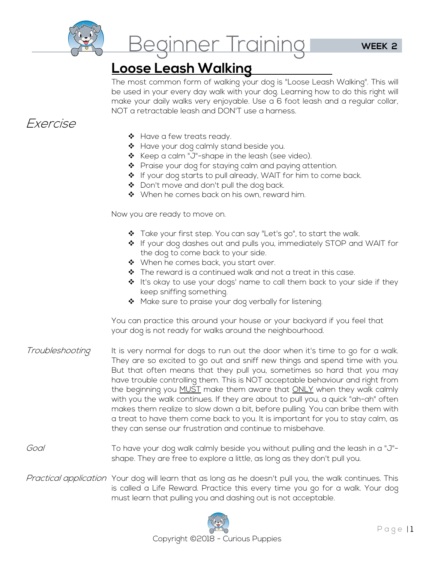

Beginner Training

**Loose Leash Walking**  The most common form of walking your dog is "Loose Leash Walking". This will be used in your every day walk with your dog. Learning how to do this right will make your daily walks very enjoyable. Use a 6 foot leash and a regular collar, NOT a retractable leash and DON'T use a harness.

### Exercise

- \* Have a few treats ready.
- \* Have your dog calmly stand beside you.
- ❖ Keep a calm "J"-shape in the leash (see video).
- $\clubsuit$  Praise your dog for staying calm and paying attention.
- ❖ If your dog starts to pull already, WAIT for him to come back.
- ❖ Don't move and don't pull the dog back.
- When he comes back on his own, reward him.

Now you are ready to move on.

- ❖ Take your first step. You can say "Let's go", to start the walk.
- If your dog dashes out and pulls you, immediately STOP and WAIT for the dog to come back to your side.
- ❖ When he comes back, you start over.
- $\hat{\mathbf{v}}$  The reward is a continued walk and not a treat in this case.
- $\triangleq$  It's okay to use your dogs' name to call them back to your side if they keep sniffing something.
- \* Make sure to praise your dog verbally for listening.

 You can practice this around your house or your backyard if you feel that your dog is not ready for walks around the neighbourhood.

- Troubleshooting It is very normal for dogs to run out the door when it's time to go for a walk. They are so excited to go out and sniff new things and spend time with you. But that often means that they pull you, sometimes so hard that you may have trouble controlling them. This is NOT acceptable behaviour and right from the beginning you MUST make them aware that ONLY when they walk calmly with you the walk continues. If they are about to pull you, a quick "ah-ah" often makes them realize to slow down a bit, before pulling. You can bribe them with a treat to have them come back to you. It is important for you to stay calm, as they can sense our frustration and continue to misbehave.
- Goal To have your dog walk calmly beside you without pulling and the leash in a "J"shape. They are free to explore a little, as long as they don't pull you.
- Practical application Your dog will learn that as long as he doesn't pull you, the walk continues. This is called a Life Reward. Practice this every time you go for a walk. Your dog must learn that pulling you and dashing out is not acceptable.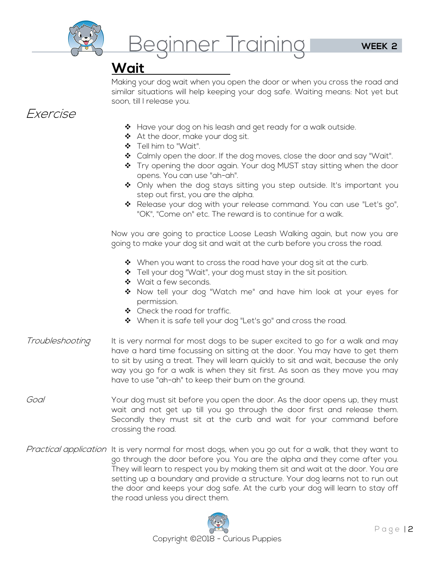

**Wait**  Making your dog wait when you open the door or when you cross the road and similar situations will help keeping your dog safe. Waiting means: Not yet but soon, till I release you.

## Exercise

- $\clubsuit$  Have your dog on his leash and get ready for a walk outside.
- ◆ At the door, make your dog sit.
- Tell him to "Wait".
- $\clubsuit$  Calmly open the door. If the dog moves, close the door and say "Wait".
- ❖ Try opening the door again. Your dog MUST stay sitting when the door opens. You can use "ah-ah".
- $\clubsuit$  Only when the dog stays sitting you step outside. It's important you step out first, you are the alpha.
- \* Release your dog with your release command. You can use "Let's go", "OK", "Come on" etc. The reward is to continue for a walk.

Now you are going to practice Loose Leash Walking again, but now you are going to make your dog sit and wait at the curb before you cross the road.

- ❖ When you want to cross the road have your dog sit at the curb.
- \* Tell your dog "Wait", your dog must stay in the sit position.
- ◆ Wait a few seconds.
- ◆ Now tell your dog "Watch me" and have him look at your eyes for permission.
- ◆ Check the road for traffic.
- ❖ When it is safe tell your dog "Let's go" and cross the road.
- Troubleshooting It is very normal for most dogs to be super excited to go for a walk and may have a hard time focussing on sitting at the door. You may have to get them to sit by using a treat. They will learn quickly to sit and wait, because the only way you go for a walk is when they sit first. As soon as they move you may have to use "ah-ah" to keep their bum on the ground.
- Goal Your dog must sit before you open the door. As the door opens up, they must wait and not get up till you go through the door first and release them. Secondly they must sit at the curb and wait for your command before crossing the road.
- Practical application It is very normal for most dogs, when you go out for a walk, that they want to go through the door before you. You are the alpha and they come after you. They will learn to respect you by making them sit and wait at the door. You are setting up a boundary and provide a structure. Your dog learns not to run out the door and keeps your dog safe. At the curb your dog will learn to stay off the road unless you direct them.